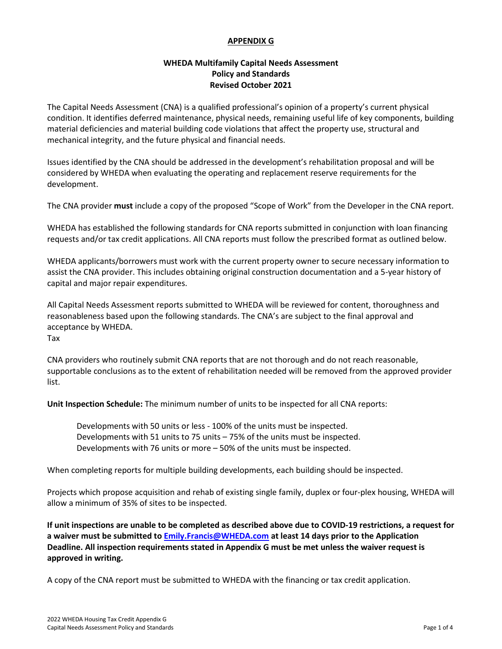#### **APPENDIX G**

### **WHEDA Multifamily Capital Needs Assessment Policy and Standards Revised October 2021**

The Capital Needs Assessment (CNA) is a qualified professional's opinion of a property's current physical condition. It identifies deferred maintenance, physical needs, remaining useful life of key components, building material deficiencies and material building code violations that affect the property use, structural and mechanical integrity, and the future physical and financial needs.

Issues identified by the CNA should be addressed in the development's rehabilitation proposal and will be considered by WHEDA when evaluating the operating and replacement reserve requirements for the development.

The CNA provider **must** include a copy of the proposed "Scope of Work" from the Developer in the CNA report.

WHEDA has established the following standards for CNA reports submitted in conjunction with loan financing requests and/or tax credit applications. All CNA reports must follow the prescribed format as outlined below.

WHEDA applicants/borrowers must work with the current property owner to secure necessary information to assist the CNA provider. This includes obtaining original construction documentation and a 5-year history of capital and major repair expenditures.

All Capital Needs Assessment reports submitted to WHEDA will be reviewed for content, thoroughness and reasonableness based upon the following standards. The CNA's are subject to the final approval and acceptance by WHEDA. Tax

CNA providers who routinely submit CNA reports that are not thorough and do not reach reasonable, supportable conclusions as to the extent of rehabilitation needed will be removed from the approved provider list.

**Unit Inspection Schedule:** The minimum number of units to be inspected for all CNA reports:

Developments with 50 units or less - 100% of the units must be inspected. Developments with 51 units to 75 units – 75% of the units must be inspected. Developments with 76 units or more – 50% of the units must be inspected.

When completing reports for multiple building developments, each building should be inspected.

Projects which propose acquisition and rehab of existing single family, duplex or four-plex housing, WHEDA will allow a minimum of 35% of sites to be inspected.

**If unit inspections are unable to be completed as described above due to COVID-19 restrictions, a request for a waiver must be submitted to [Emily.Francis@WHEDA.com](mailto:Emily.Francis@WHEDA.com) at least 14 days prior to the Application Deadline. All inspection requirements stated in Appendix G must be met unless the waiver request is approved in writing.** 

A copy of the CNA report must be submitted to WHEDA with the financing or tax credit application.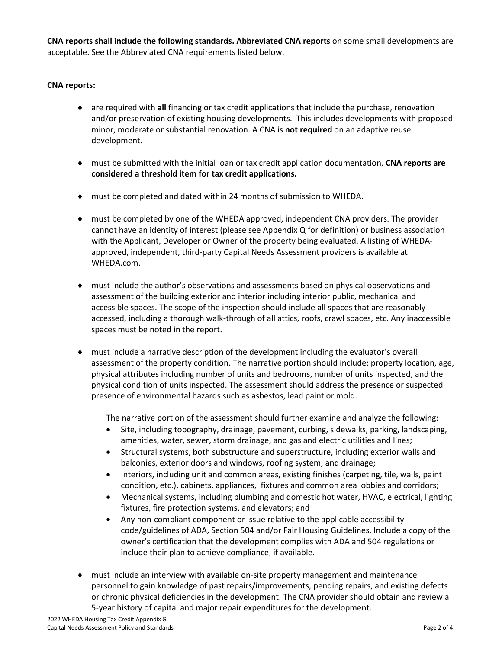**CNA reports shall include the following standards. Abbreviated CNA reports** on some small developments are acceptable. See the Abbreviated CNA requirements listed below.

#### **CNA reports:**

- are required with all financing or tax credit applications that include the purchase, renovation and/or preservation of existing housing developments. This includes developments with proposed minor, moderate or substantial renovation. A CNA is **not required** on an adaptive reuse development.
- ♦ must be submitted with the initial loan or tax credit application documentation. **CNA reports are considered a threshold item for tax credit applications.**
- must be completed and dated within 24 months of submission to WHEDA.
- ♦ must be completed by one of the WHEDA approved, independent CNA providers. The provider cannot have an identity of interest (please see Appendix Q for definition) or business association with the Applicant, Developer or Owner of the property being evaluated. A listing of WHEDAapproved, independent, third-party Capital Needs Assessment providers is available at WHEDA.com.
- ♦ must include the author's observations and assessments based on physical observations and assessment of the building exterior and interior including interior public, mechanical and accessible spaces. The scope of the inspection should include all spaces that are reasonably accessed, including a thorough walk-through of all attics, roofs, crawl spaces, etc. Any inaccessible spaces must be noted in the report.
- must include a narrative description of the development including the evaluator's overall assessment of the property condition. The narrative portion should include: property location, age, physical attributes including number of units and bedrooms, number of units inspected, and the physical condition of units inspected. The assessment should address the presence or suspected presence of environmental hazards such as asbestos, lead paint or mold.

The narrative portion of the assessment should further examine and analyze the following:

- Site, including topography, drainage, pavement, curbing, sidewalks, parking, landscaping, amenities, water, sewer, storm drainage, and gas and electric utilities and lines;
- Structural systems, both substructure and superstructure, including exterior walls and balconies, exterior doors and windows, roofing system, and drainage;
- Interiors, including unit and common areas, existing finishes (carpeting, tile, walls, paint condition, etc.), cabinets, appliances, fixtures and common area lobbies and corridors;
- Mechanical systems, including plumbing and domestic hot water, HVAC, electrical, lighting fixtures, fire protection systems, and elevators; and
- Any non-compliant component or issue relative to the applicable accessibility code/guidelines of ADA, Section 504 and/or Fair Housing Guidelines. Include a copy of the owner's certification that the development complies with ADA and 504 regulations or include their plan to achieve compliance, if available.
- must include an interview with available on-site property management and maintenance personnel to gain knowledge of past repairs/improvements, pending repairs, and existing defects or chronic physical deficiencies in the development. The CNA provider should obtain and review a 5-year history of capital and major repair expenditures for the development.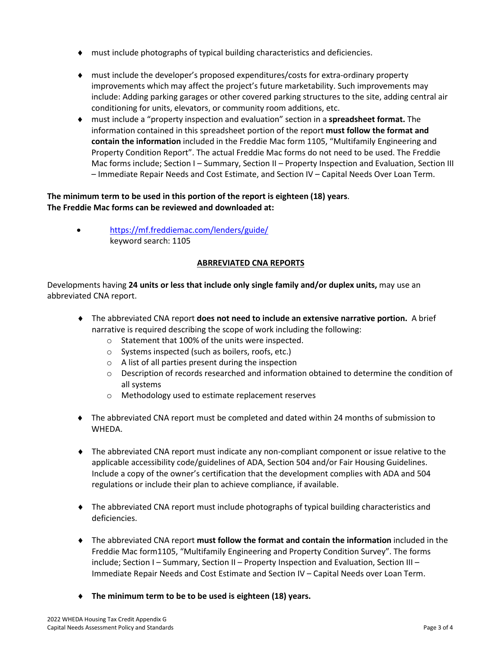- ♦ must include photographs of typical building characteristics and deficiencies.
- ♦ must include the developer's proposed expenditures/costs for extra-ordinary property improvements which may affect the project's future marketability. Such improvements may include: Adding parking garages or other covered parking structures to the site, adding central air conditioning for units, elevators, or community room additions, etc.
- ♦ must include a "property inspection and evaluation" section in a **spreadsheet format.** The information contained in this spreadsheet portion of the report **must follow the format and contain the information** included in the Freddie Mac form 1105, "Multifamily Engineering and Property Condition Report". The actual Freddie Mac forms do not need to be used. The Freddie Mac forms include; Section I – Summary, Section II – Property Inspection and Evaluation, Section III – Immediate Repair Needs and Cost Estimate, and Section IV – Capital Needs Over Loan Term.

## **The minimum term to be used in this portion of the report is eighteen (18) years**. **The Freddie Mac forms can be reviewed and downloaded at:**

• <https://mf.freddiemac.com/lenders/guide/> keyword search: 1105

# **ABRREVIATED CNA REPORTS**

Developments having **24 units or less that include only single family and/or duplex units,** may use an abbreviated CNA report.

- ♦ The abbreviated CNA report **does not need to include an extensive narrative portion.** A brief narrative is required describing the scope of work including the following:
	- o Statement that 100% of the units were inspected.
	- o Systems inspected (such as boilers, roofs, etc.)
	- o A list of all parties present during the inspection
	- $\circ$  Description of records researched and information obtained to determine the condition of all systems
	- o Methodology used to estimate replacement reserves
- ♦ The abbreviated CNA report must be completed and dated within 24 months of submission to WHEDA.
- ♦ The abbreviated CNA report must indicate any non-compliant component or issue relative to the applicable accessibility code/guidelines of ADA, Section 504 and/or Fair Housing Guidelines. Include a copy of the owner's certification that the development complies with ADA and 504 regulations or include their plan to achieve compliance, if available.
- ♦ The abbreviated CNA report must include photographs of typical building characteristics and deficiencies.
- ♦ The abbreviated CNA report **must follow the format and contain the information** included in the Freddie Mac form1105, "Multifamily Engineering and Property Condition Survey". The forms include; Section I – Summary, Section II – Property Inspection and Evaluation, Section III – Immediate Repair Needs and Cost Estimate and Section IV – Capital Needs over Loan Term.
- ♦ **The minimum term to be to be used is eighteen (18) years.**